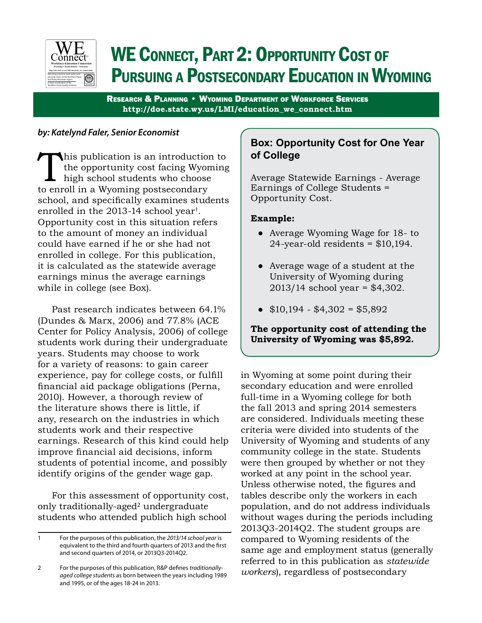

# WE CONNECT, PART 2: OPPORTUNITY COST OF Pursuing a Postsecondary Education in Wyoming

Research & Planning • Wyoming Department of Workforce Services **http://doe.state.wy.us/LMI/education\_we\_connect.htm**

## *by: Katelynd Faler, Senior Economist*

This publication is an introduction to the opportunity cost facing Wyoming  $\Box$  high school students who choose to enroll in a Wyoming postsecondary school, and specifically examines students enrolled in the 2013-14 school year<sup>1</sup>. Opportunity cost in this situation refers to the amount of money an individual could have earned if he or she had not enrolled in college. For this publication, it is calculated as the statewide average earnings minus the average earnings while in college (see Box).

Past research indicates between 64.1% (Dundes & Marx, 2006) and 77.8% (ACE Center for Policy Analysis, 2006) of college students work during their undergraduate years. Students may choose to work for a variety of reasons: to gain career experience, pay for college costs, or fulfill financial aid package obligations (Perna, 2010). However, a thorough review of the literature shows there is little, if any, research on the industries in which students work and their respective earnings. Research of this kind could help improve financial aid decisions, inform students of potential income, and possibly identify origins of the gender wage gap.

For this assessment of opportunity cost, only traditionally-aged<sup>2</sup> undergraduate students who attended publich high school

## **Box: Opportunity Cost for One Year of College**

Average Statewide Earnings - Average Earnings of College Students = Opportunity Cost.

## **Example:**

- Average Wyoming Wage for 18- to 24-year-old residents  $= $10,194$ .
- Average wage of a student at the University of Wyoming during 2013/14 school year = \$4,302.
- $\bullet$  \$10,194 \$4,302 = \$5,892

## **The opportunity cost of attending the University of Wyoming was \$5,892.**

in Wyoming at some point during their secondary education and were enrolled full-time in a Wyoming college for both the fall 2013 and spring 2014 semesters are considered. Individuals meeting these criteria were divided into students of the University of Wyoming and students of any community college in the state. Students were then grouped by whether or not they worked at any point in the school year. Unless otherwise noted, the figures and tables describe only the workers in each population, and do not address individuals without wages during the periods including 2013Q3-2014Q2. The student groups are compared to Wyoming residents of the same age and employment status (generally referred to in this publication as *statewide workers*), regardless of postsecondary

<sup>1</sup> For the purposes of this publication, the *2013/14 school year* is equivalent to the third and fourth quarters of 2013 and the first and second quarters of 2014, or 2013Q3-2014Q2.

<sup>2</sup> For the purposes of this publication, R&P defines *traditionallyaged college students* as born between the years including 1989 and 1995, or of the ages 18-24 in 2013.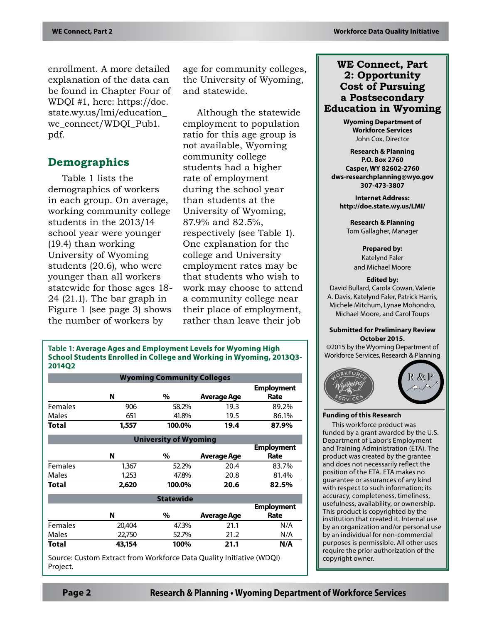enrollment. A more detailed explanation of the data can be found in Chapter Four of WDQI #1, here: https://doe. state.wy.us/lmi/education\_ we\_connect/WDQI\_Pub1. pdf.

## **Demographics**

Table 1 lists the demographics of workers in each group. On average, working community college students in the 2013/14 school year were younger (19.4) than working University of Wyoming students (20.6), who were younger than all workers statewide for those ages 18- 24 (21.1). The bar graph in Figure 1 (see page 3) shows the number of workers by

age for community colleges, the University of Wyoming, and statewide.

Although the statewide employment to population ratio for this age group is not available, Wyoming community college students had a higher rate of employment during the school year than students at the University of Wyoming, 87.9% and 82.5%, respectively (see Table 1). One explanation for the college and University employment rates may be that students who wish to work may choose to attend a community college near their place of employment, rather than leave their job

**Table 1: Average Ages and Employment Levels for Wyoming High School Students Enrolled in College and Working in Wyoming, 2013Q3- 2014Q2**

| <b>Wyoming Community Colleges</b> |                                                                      |        |                    |                           |  |  |  |  |  |
|-----------------------------------|----------------------------------------------------------------------|--------|--------------------|---------------------------|--|--|--|--|--|
|                                   | N                                                                    | %      | <b>Average Age</b> | <b>Employment</b><br>Rate |  |  |  |  |  |
| Females                           | 906                                                                  | 58.2%  | 19.3               | 89.2%                     |  |  |  |  |  |
| Males                             | 651                                                                  | 41.8%  | 19.5               | 86.1%                     |  |  |  |  |  |
| Total                             | 1,557                                                                | 100.0% | 19.4               | 87.9%                     |  |  |  |  |  |
| <b>University of Wyoming</b>      |                                                                      |        |                    |                           |  |  |  |  |  |
|                                   |                                                                      |        |                    | <b>Employment</b>         |  |  |  |  |  |
|                                   | N                                                                    | %      | <b>Average Age</b> | Rate                      |  |  |  |  |  |
| <b>Females</b>                    | 1,367                                                                | 52.2%  | 20.4               | 83.7%                     |  |  |  |  |  |
| Males                             | 1,253                                                                | 47.8%  | 20.8               | 81.4%                     |  |  |  |  |  |
| Total                             | 2,620                                                                | 100.0% | 20.6               | 82.5%                     |  |  |  |  |  |
| <b>Statewide</b>                  |                                                                      |        |                    |                           |  |  |  |  |  |
|                                   | N                                                                    | $\%$   | <b>Average Age</b> | <b>Employment</b><br>Rate |  |  |  |  |  |
| <b>Females</b>                    | 20,404                                                               | 47.3%  | 21.1               | N/A                       |  |  |  |  |  |
| Males                             | 22,750                                                               | 52.7%  | 21.2               | N/A                       |  |  |  |  |  |
| Total                             | 43,154                                                               | 100%   | 21.1               | N/A                       |  |  |  |  |  |
|                                   | Source: Custom Extract from Workforce Data Quality Initiative (WDQI) |        |                    |                           |  |  |  |  |  |

## **WE Connect, Part 2: Opportunity Cost of Pursuing a Postsecondary Education in Wyoming**

**Wyoming Department of Workforce Services** John Cox, Director

**Research & Planning P.O. Box 2760 Casper, WY 82602-2760 dws-researchplanning@wyo.gov 307-473-3807**

**Internet Address: http://doe.state.wy.us/LMI/**

**Research & Planning** Tom Gallagher, Manager

**Prepared by:** Katelynd Faler and Michael Moore

#### **Edited by:**

David Bullard, Carola Cowan, Valerie A. Davis, Katelynd Faler, Patrick Harris, Michele Mitchum, Lynae Mohondro, Michael Moore, and Carol Toups

#### **Submitted for Preliminary Review October 2015.**

©2015 by the Wyoming Department of Workforce Services, Research & Planning



#### **Funding of this Research**

This workforce product was funded by a grant awarded by the U.S. Department of Labor's Employment and Training Administration (ETA). The product was created by the grantee and does not necessarily reflect the position of the ETA. ETA makes no guarantee or assurances of any kind with respect to such information; its accuracy, completeness, timeliness, usefulness, availability, or ownership. This product is copyrighted by the institution that created it. Internal use by an organization and/or personal use by an individual for non-commercial purposes is permissible. All other uses require the prior authorization of the copyright owner.

Project.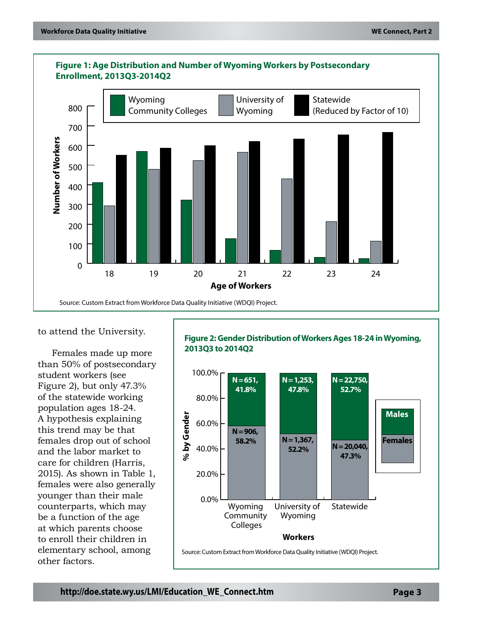

## **Figure 1: Age Distribution and Number of Wyoming Workers by Postsecondary**

to attend the University.

Females made up more than 50% of postsecondary student workers (see Figure 2), but only 47.3% of the statewide working population ages 18-24. A hypothesis explaining this trend may be that females drop out of school and the labor market to care for children (Harris, 2015). As shown in Table 1, females were also generally younger than their male counterparts, which may be a function of the age at which parents choose to enroll their children in elementary school, among other factors.

**Figure 2: Gender Distribution of Workers Ages 18-24 in Wyoming, 2013Q3 to 2014Q2**

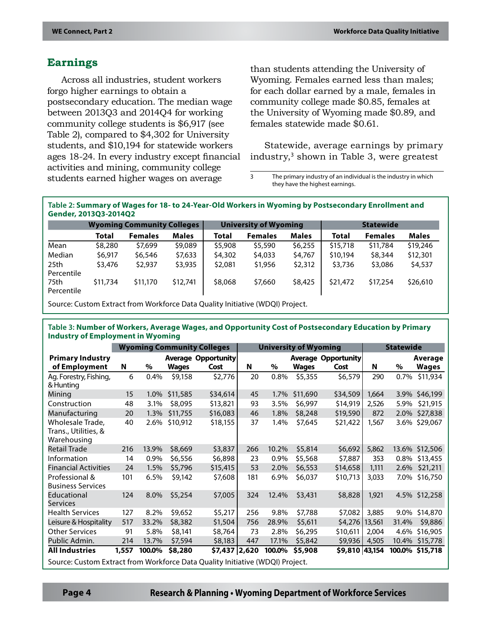## **Earnings**

Across all industries, student workers forgo higher earnings to obtain a postsecondary education. The median wage between 2013Q3 and 2014Q4 for working community college students is \$6,917 (see Table 2), compared to \$4,302 for University students, and \$10,194 for statewide workers ages 18-24. In every industry except financial activities and mining, community college students earned higher wages on average

than students attending the University of Wyoming. Females earned less than males; for each dollar earned by a male, females in community college made \$0.85, females at the University of Wyoming made \$0.89, and females statewide made \$0.61.

Statewide, average earnings by primary industry,<sup>3</sup> shown in Table 3, were greatest

3 The primary industry of an individual is the industry in which they have the highest earnings.

**Table 2: Summary of Wages for 18- to 24-Year-Old Workers in Wyoming by Postsecondary Enrollment and Gender, 2013Q3-2014Q2**

|                                |              | <b>Wyoming Community Colleges</b> |              |         | <b>University of Wyoming</b> |              | <b>Statewide</b> |                |              |  |
|--------------------------------|--------------|-----------------------------------|--------------|---------|------------------------------|--------------|------------------|----------------|--------------|--|
|                                | <b>Total</b> | <b>Females</b>                    | <b>Males</b> | Total   | <b>Females</b>               | <b>Males</b> | Total            | <b>Females</b> | <b>Males</b> |  |
| Mean                           | \$8,280      | \$7,699                           | \$9,089      | \$5,908 | \$5,590                      | \$6,255      | \$15,718         | \$11,784       | \$19,246     |  |
| Median                         | \$6,917      | \$6,546                           | \$7,633      | \$4,302 | \$4,033                      | \$4,767      | \$10,194         | \$8,344        | \$12,301     |  |
| 25 <sub>th</sub><br>Percentile | \$3,476      | \$2,937                           | \$3,935      | \$2,081 | \$1,956                      | \$2,312      | \$3,736          | \$3,086        | \$4,537      |  |
| 75th<br>Percentile             | \$11,734     | \$11,170                          | \$12,741     | \$8,068 | \$7,660                      | \$8,425      | \$21,472         | \$17,254       | \$26,610     |  |

Source: Custom Extract from Workforce Data Quality Initiative (WDQI) Project.

#### **Table 3: Number of Workers, Average Wages, and Opportunity Cost of Postsecondary Education by Primary Industry of Employment in Wyoming**

|                                                                               | <b>Wyoming Community Colleges</b> |        |              |                                    | <b>University of Wyoming</b> |        |              |                                    | <b>Statewide</b> |        |                         |
|-------------------------------------------------------------------------------|-----------------------------------|--------|--------------|------------------------------------|------------------------------|--------|--------------|------------------------------------|------------------|--------|-------------------------|
| <b>Primary Industry</b><br>of Employment                                      | N                                 | $\%$   | <b>Wages</b> | <b>Average Opportunity</b><br>Cost | N                            | $\%$   | <b>Wages</b> | <b>Average Opportunity</b><br>Cost | N                | $\%$   | Average<br><b>Wages</b> |
| Ag. Forestry, Fishing,                                                        | 6                                 | 0.4%   | \$9,158      | \$2,776                            | 20                           | 0.8%   | \$5,355      | \$6,579                            | 290              | 0.7%   | \$11,934                |
| & Hunting                                                                     |                                   |        |              |                                    |                              |        |              |                                    |                  |        |                         |
| Mining                                                                        | 15                                | 1.0%   | \$11,585     | \$34,614                           | 45                           | 1.7%   | \$11,690     | \$34,509                           | 1.664            |        | 3.9% \$46,199           |
| Construction                                                                  | 48                                | 3.1%   | \$8,095      | \$13,821                           | 93                           | 3.5%   | \$6,997      | \$14,919                           | 2,526            | 5.9%   | \$21,915                |
| Manufacturing                                                                 | 20                                | 1.3%   | \$11,755     | \$16,083                           | 46                           | 1.8%   | \$8,248      | \$19,590                           | 872              | 2.0%   | \$27,838                |
| Wholesale Trade.                                                              | 40                                | 2.6%   | \$10,912     | \$18,155                           | 37                           | 1.4%   | \$7,645      | \$21,422                           | 1,567            | 3.6%   | \$29,067                |
| Trans., Utilities, &<br>Warehousing                                           |                                   |        |              |                                    |                              |        |              |                                    |                  |        |                         |
| <b>Retail Trade</b>                                                           | 216                               | 13.9%  | \$8,669      | \$3,837                            | 266                          | 10.2%  | \$5,814      | \$6,692                            | 5,862            |        | 13.6% \$12,506          |
| Information                                                                   | 14                                | 0.9%   | \$6,556      | \$6,898                            | 23                           | 0.9%   | \$5,568      | \$7,887                            | 353              | 0.8%   | \$13,455                |
| <b>Financial Activities</b>                                                   | 24                                | 1.5%   | \$5,796      | \$15,415                           | 53                           | 2.0%   | \$6,553      | \$14,658                           | 1,111            | 2.6%   | \$21,211                |
| Professional &<br><b>Business Services</b>                                    | 101                               | 6.5%   | \$9,142      | \$7,608                            | 181                          | 6.9%   | \$6,037      | \$10,713                           | 3,033            |        | 7.0% \$16,750           |
| Educational<br><b>Services</b>                                                | 124                               | 8.0%   | \$5,254      | \$7,005                            | 324                          | 12.4%  | \$3,431      | \$8,828                            | 1,921            |        | 4.5% \$12,258           |
| <b>Health Services</b>                                                        | 127                               | 8.2%   | \$9,652      | \$5,217                            | 256                          | 9.8%   | \$7,788      | \$7,082                            | 3,885            | 9.0%   | \$14,870                |
| Leisure & Hospitality                                                         | 517                               | 33.2%  | \$8,382      | \$1,504                            | 756                          | 28.9%  | \$5,611      | \$4,276                            | 13,561           | 31.4%  | \$9,886                 |
| <b>Other Services</b>                                                         | 91                                | 5.8%   | \$8,141      | \$8,764                            | 73                           | 2.8%   | \$6,295      | \$10,611                           | 2,004            | 4.6%   | \$16,905                |
| Public Admin.                                                                 | 214                               | 13.7%  | \$7,594      | \$8,183                            | 447                          | 17.1%  | \$5,842      | \$9,936                            | 4,505            | 10.4%  | \$15,778                |
| <b>All Industries</b>                                                         | 1,557                             | 100.0% | \$8,280      | \$7,437 2,620                      |                              | 100.0% | \$5,908      | \$9,810 43,154                     |                  | 100.0% | \$15,718                |
| Source: Custom Extract from Workforce Data Quality Initiative (WDQI) Project. |                                   |        |              |                                    |                              |        |              |                                    |                  |        |                         |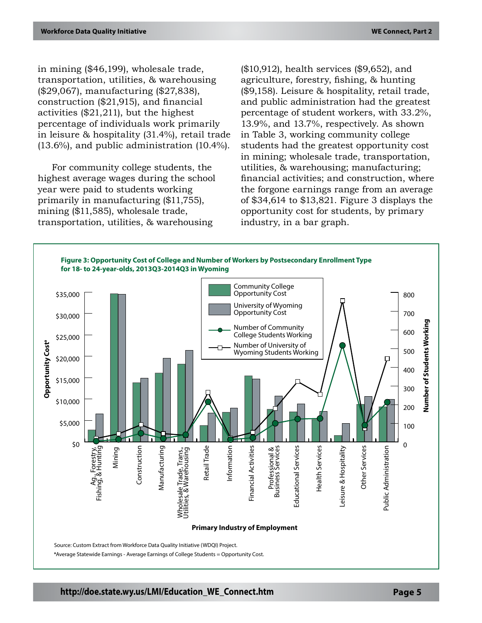in mining (\$46,199), wholesale trade, transportation, utilities, & warehousing (\$29,067), manufacturing (\$27,838), construction (\$21,915), and financial activities (\$21,211), but the highest percentage of individuals work primarily in leisure & hospitality (31.4%), retail trade (13.6%), and public administration (10.4%).

For community college students, the highest average wages during the school year were paid to students working primarily in manufacturing (\$11,755), mining (\$11,585), wholesale trade, transportation, utilities, & warehousing

(\$10,912), health services (\$9,652), and agriculture, forestry, fishing, & hunting (\$9,158). Leisure & hospitality, retail trade, and public administration had the greatest percentage of student workers, with 33.2%, 13.9%, and 13.7%, respectively. As shown in Table 3, working community college students had the greatest opportunity cost in mining; wholesale trade, transportation, utilities, & warehousing; manufacturing; financial activities; and construction, where the forgone earnings range from an average of \$34,614 to \$13,821. Figure 3 displays the opportunity cost for students, by primary industry, in a bar graph.

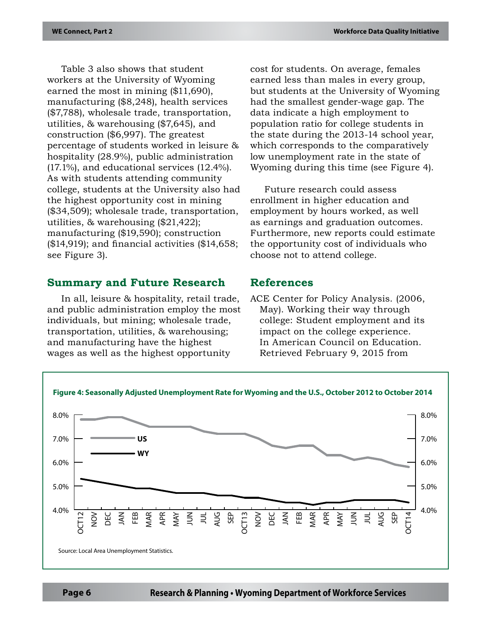Table 3 also shows that student workers at the University of Wyoming earned the most in mining (\$11,690), manufacturing (\$8,248), health services (\$7,788), wholesale trade, transportation, utilities, & warehousing (\$7,645), and construction (\$6,997). The greatest percentage of students worked in leisure & hospitality (28.9%), public administration (17.1%), and educational services (12.4%). As with students attending community college, students at the University also had the highest opportunity cost in mining (\$34,509); wholesale trade, transportation, utilities, & warehousing (\$21,422); manufacturing (\$19,590); construction (\$14,919); and financial activities (\$14,658; see Figure 3).

## **Summary and Future Research**

In all, leisure & hospitality, retail trade, and public administration employ the most individuals, but mining; wholesale trade, transportation, utilities, & warehousing; and manufacturing have the highest wages as well as the highest opportunity

cost for students. On average, females earned less than males in every group, but students at the University of Wyoming had the smallest gender-wage gap. The data indicate a high employment to population ratio for college students in the state during the 2013-14 school year, which corresponds to the comparatively low unemployment rate in the state of Wyoming during this time (see Figure 4).

Future research could assess enrollment in higher education and employment by hours worked, as well as earnings and graduation outcomes. Furthermore, new reports could estimate the opportunity cost of individuals who choose not to attend college.

## **References**

ACE Center for Policy Analysis. (2006, May). Working their way through college: Student employment and its impact on the college experience. In American Council on Education. Retrieved February 9, 2015 from

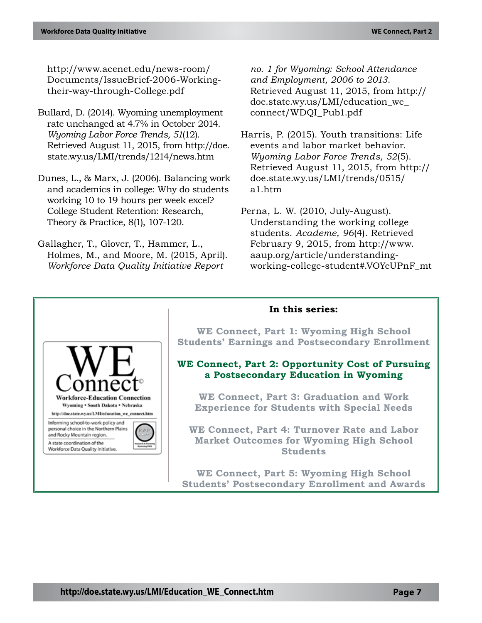http://www.acenet.edu/news-room/ Documents/IssueBrief-2006-Workingtheir-way-through-College.pdf

- Bullard, D. (2014). Wyoming unemployment rate unchanged at 4.7% in October 2014. *Wyoming Labor Force Trends, 51*(12). Retrieved August 11, 2015, from http://doe. state.wy.us/LMI/trends/1214/news.htm
- Dunes, L., & Marx, J. (2006). Balancing work and academics in college: Why do students working 10 to 19 hours per week excel? College Student Retention: Research, Theory & Practice, 8(1), 107-120.
- Gallagher, T., Glover, T., Hammer, L., Holmes, M., and Moore, M. (2015, April). *Workforce Data Quality Initiative Report*

*no. 1 for Wyoming: School Attendance and Employment, 2006 to 2013*. Retrieved August 11, 2015, from http:// doe.state.wy.us/LMI/education\_we\_ connect/WDQI\_Pub1.pdf

Harris, P. (2015). Youth transitions: Life events and labor market behavior. *Wyoming Labor Force Trends, 52*(5). Retrieved August 11, 2015, from http:// doe.state.wy.us/LMI/trends/0515/ a1.htm

Perna, L. W. (2010, July-August). Understanding the working college students. *Academe, 96*(4). Retrieved February 9, 2015, from http://www. aaup.org/article/understandingworking-college-student#.VOYeUPnF\_mt



## **http://doe.state.wy.us/LMI/Education\_WE\_Connect.htm Page 7**